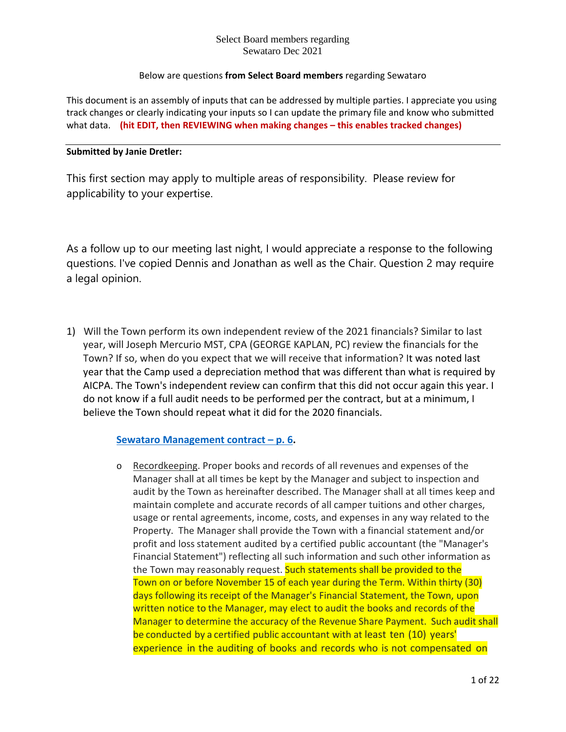## Below are questions **from Select Board members** regarding Sewataro

This document is an assembly of inputs that can be addressed by multiple parties. I appreciate you using track changes or clearly indicating your inputs so I can update the primary file and know who submitted what data. **(hit EDIT, then REVIEWING when making changes – this enables tracked changes)**

## **Submitted by Janie Dretler:**

This first section may apply to multiple areas of responsibility. Please review for applicability to your expertise.

As a follow up to our meeting last night, I would appreciate a response to the following questions. I've copied Dennis and Jonathan as well as the Chair. Question 2 may require a legal opinion.

1) Will the Town perform its own independent review of the 2021 financials? Similar to last year, will Joseph Mercurio MST, CPA (GEORGE KAPLAN, PC) review the financials for the Town? If so, when do you expect that we will receive that information? It was noted last year that the Camp used a depreciation method that was different than what is required by AICPA. The Town's independent review can confirm that this did not occur again this year. I do not know if a full audit needs to be performed per the contract, but at a minimum, I believe the Town should repeat what it did for the 2020 financials.

# **[Sewataro Management contract –](https://s3-us-west-2.amazonaws.com/cdn.sudbury.ma.us/wp-content/uploads/sites/357/2019/09/Sewataro_Camp_Operator_Contract_Executed_w_o_Exhibits.pdf?version=88cb3eda74131aca55ec66ae2d5a9cf0) p. 6.**

o Recordkeeping. Proper books and records of all revenues and expenses of the Manager shall at all times be kept by the Manager and subject to inspection and audit by the Town as hereinafter described. The Manager shall at all times keep and maintain complete and accurate records of all camper tuitions and other charges, usage or rental agreements, income, costs, and expenses in any way related to the Property. The Manager shall provide the Town with a financial statement and/or profit and loss statement audited by a certified public accountant (the "Manager's Financial Statement") reflecting all such information and such other information as the Town may reasonably request. Such statements shall be provided to the Town on or before November 15 of each year during the Term. Within thirty (30) days following its receipt of the Manager's Financial Statement, the Town, upon written notice to the Manager, may elect to audit the books and records of the Manager to determine the accuracy of the Revenue Share Payment. Such audit shall be conducted by a certified public accountant with at least ten (10) years' experience in the auditing of books and records who is not compensated on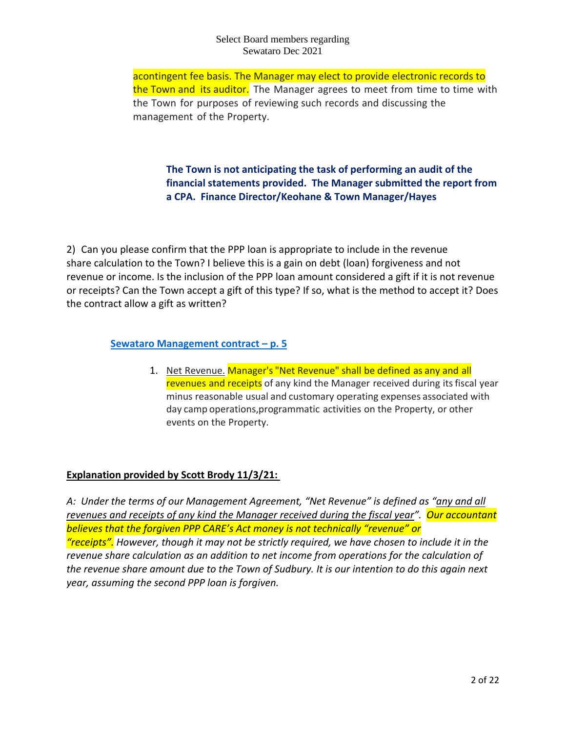acontingent fee basis. The Manager may elect to provide electronic records to the Town and its auditor. The Manager agrees to meet from time to time with the Town for purposes of reviewing such records and discussing the management of the Property.

# **The Town is not anticipating the task of performing an audit of the financial statements provided. The Manager submitted the report from a CPA. Finance Director/Keohane & Town Manager/Hayes**

2) Can you please confirm that the PPP loan is appropriate to include in the revenue share calculation to the Town? I believe this is a gain on debt (loan) forgiveness and not revenue or income. Is the inclusion of the PPP loan amount considered a gift if it is not revenue or receipts? Can the Town accept a gift of this type? If so, what is the method to accept it? Does the contract allow a gift as written?

# **[Sewataro Management contract –](https://s3-us-west-2.amazonaws.com/cdn.sudbury.ma.us/wp-content/uploads/sites/357/2019/09/Sewataro_Camp_Operator_Contract_Executed_w_o_Exhibits.pdf?version=88cb3eda74131aca55ec66ae2d5a9cf0) p. 5**

1. Net Revenue. Manager's "Net Revenue" shall be defined as any and all revenues and receipts of any kind the Manager received during its fiscal year minus reasonable usual and customary operating expenses associated with day camp operations,programmatic activities on the Property, or other events on the Property.

# **Explanation provided by Scott Brody 11/3/21:**

*A: Under the terms of our Management Agreement, "Net Revenue" is defined as "any and all revenues and receipts of any kind the Manager received during the fiscal year". Our accountant believes that the forgiven PPP CARE's Act money is not technically "revenue" or "receipts". However, though it may not be strictly required, we have chosen to include it in the revenue share calculation as an addition to net income from operations for the calculation of the revenue share amount due to the Town of Sudbury. It is our intention to do this again next year, assuming the second PPP loan is forgiven.*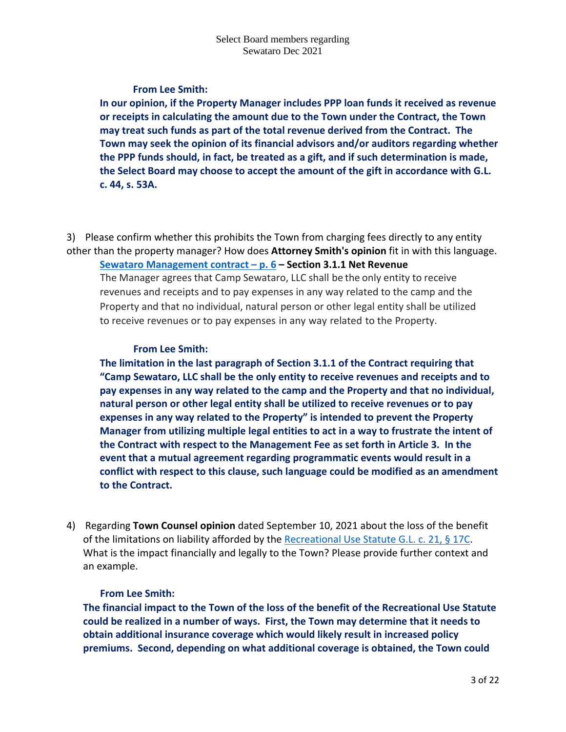## **From Lee Smith:**

**In our opinion, if the Property Manager includes PPP loan funds it received as revenue or receipts in calculating the amount due to the Town under the Contract, the Town may treat such funds as part of the total revenue derived from the Contract. The Town may seek the opinion of its financial advisors and/or auditors regarding whether the PPP funds should, in fact, be treated as a gift, and if such determination is made, the Select Board may choose to accept the amount of the gift in accordance with G.L. c. 44, s. 53A.**

3) Please confirm whether this prohibits the Town from charging fees directly to any entity other than the property manager? How does **Attorney Smith's opinion** fit in with this language. **[Sewataro Management contract –](https://s3-us-west-2.amazonaws.com/cdn.sudbury.ma.us/wp-content/uploads/sites/357/2019/09/Sewataro_Camp_Operator_Contract_Executed_w_o_Exhibits.pdf?version=88cb3eda74131aca55ec66ae2d5a9cf0) p. 6 – Section 3.1.1 Net Revenue**

The Manager agrees that Camp Sewataro, LLC shall be the only entity to receive revenues and receipts and to pay expenses in any way related to the camp and the Property and that no individual, natural person or other legal entity shall be utilized to receive revenues or to pay expenses in any way related to the Property.

## **From Lee Smith:**

**The limitation in the last paragraph of Section 3.1.1 of the Contract requiring that "Camp Sewataro, LLC shall be the only entity to receive revenues and receipts and to pay expenses in any way related to the camp and the Property and that no individual, natural person or other legal entity shall be utilized to receive revenues or to pay expenses in any way related to the Property" is intended to prevent the Property Manager from utilizing multiple legal entities to act in a way to frustrate the intent of the Contract with respect to the Management Fee as set forth in Article 3. In the event that a mutual agreement regarding programmatic events would result in a conflict with respect to this clause, such language could be modified as an amendment to the Contract.**

4) Regarding **Town Counsel opinion** dated September 10, 2021 about the loss of the benefit of the limitations on liability afforded by the [Recreational Use Statute G.L. c.](https://malegislature.gov/Laws/GeneralLaws/PartI/TitleII/Chapter21/Section17C) 21, § 17C. What is the impact financially and legally to the Town? Please provide further context and an example.

# **From Lee Smith:**

**The financial impact to the Town of the loss of the benefit of the Recreational Use Statute could be realized in a number of ways. First, the Town may determine that it needs to obtain additional insurance coverage which would likely result in increased policy premiums. Second, depending on what additional coverage is obtained, the Town could**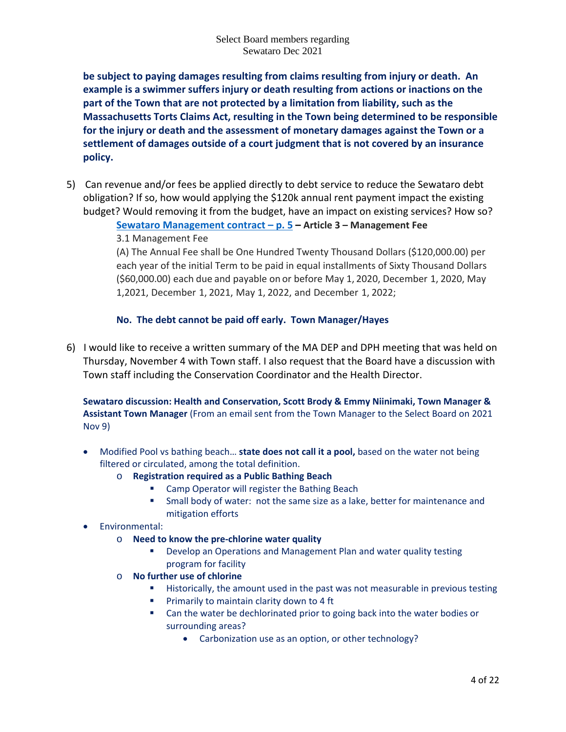**be subject to paying damages resulting from claims resulting from injury or death. An example is a swimmer suffers injury or death resulting from actions or inactions on the part of the Town that are not protected by a limitation from liability, such as the Massachusetts Torts Claims Act, resulting in the Town being determined to be responsible for the injury or death and the assessment of monetary damages against the Town or a settlement of damages outside of a court judgment that is not covered by an insurance policy.** 

5) Can revenue and/or fees be applied directly to debt service to reduce the Sewataro debt obligation? If so, how would applying the \$120k annual rent payment impact the existing budget? Would removing it from the budget, have an impact on existing services? How so?

# **[Sewataro Management contract –](https://s3-us-west-2.amazonaws.com/cdn.sudbury.ma.us/wp-content/uploads/sites/357/2019/09/Sewataro_Camp_Operator_Contract_Executed_w_o_Exhibits.pdf?version=88cb3eda74131aca55ec66ae2d5a9cf0) p. 5 – Article 3 – Management Fee** 3.1 Management Fee

(A) The Annual Fee shall be One Hundred Twenty Thousand Dollars (\$120,000.00) per each year of the initial Term to be paid in equal installments of Sixty Thousand Dollars (\$60,000.00) each due and payable on or before May 1, 2020, December 1, 2020, May 1,2021, December 1, 2021, May 1, 2022, and December 1, 2022;

# **No. The debt cannot be paid off early. Town Manager/Hayes**

6) I would like to receive a written summary of the MA DEP and DPH meeting that was held on Thursday, November 4 with Town staff. I also request that the Board have a discussion with Town staff including the Conservation Coordinator and the Health Director.

**Sewataro discussion: Health and Conservation, Scott Brody & Emmy Niinimaki, Town Manager & Assistant Town Manager** (From an email sent from the Town Manager to the Select Board on 2021 Nov 9)

- Modified Pool vs bathing beach… **state does not call it a pool,** based on the water not being filtered or circulated, among the total definition.
	- o **Registration required as a Public Bathing Beach**
		- **E** Camp Operator will register the Bathing Beach
		- Small body of water: not the same size as a lake, better for maintenance and mitigation efforts

# • Environmental:

- o **Need to know the pre-chlorine water quality**
	- **Develop an Operations and Management Plan and water quality testing** program for facility
- o **No further use of chlorine**
	- **Historically, the amount used in the past was not measurable in previous testing**
	- **Primarily to maintain clarity down to 4 ft**
	- Can the water be dechlorinated prior to going back into the water bodies or surrounding areas?
		- Carbonization use as an option, or other technology?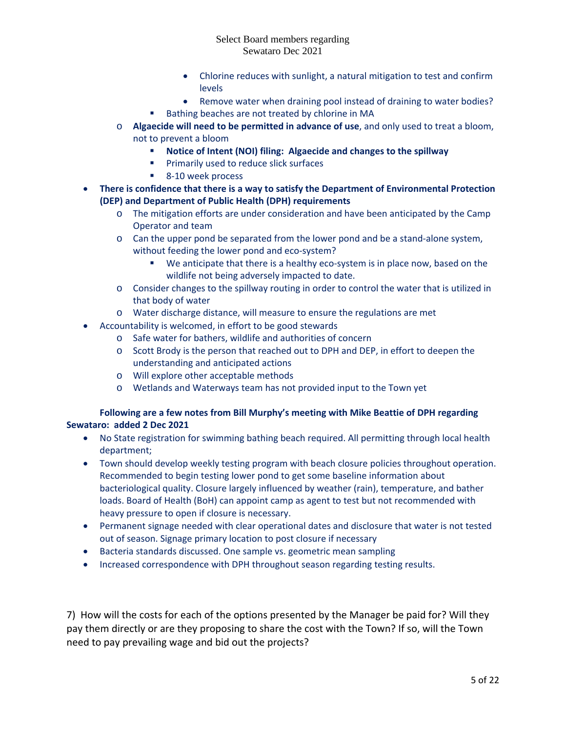- Chlorine reduces with sunlight, a natural mitigation to test and confirm **levels**
- Remove water when draining pool instead of draining to water bodies?
- Bathing beaches are not treated by chlorine in MA
- o **Algaecide will need to be permitted in advance of use**, and only used to treat a bloom, not to prevent a bloom
	- **Notice of Intent (NOI) filing: Algaecide and changes to the spillway**
	- **Primarily used to reduce slick surfaces**
	- 8-10 week process
- **There is confidence that there is a way to satisfy the Department of Environmental Protection (DEP) and Department of Public Health (DPH) requirements**
	- o The mitigation efforts are under consideration and have been anticipated by the Camp Operator and team
	- o Can the upper pond be separated from the lower pond and be a stand-alone system, without feeding the lower pond and eco-system?
		- We anticipate that there is a healthy eco-system is in place now, based on the wildlife not being adversely impacted to date.
	- o Consider changes to the spillway routing in order to control the water that is utilized in that body of water
	- o Water discharge distance, will measure to ensure the regulations are met
- Accountability is welcomed, in effort to be good stewards
	- o Safe water for bathers, wildlife and authorities of concern
	- o Scott Brody is the person that reached out to DPH and DEP, in effort to deepen the understanding and anticipated actions
	- o Will explore other acceptable methods
	- o Wetlands and Waterways team has not provided input to the Town yet

### **Following are a few notes from Bill Murphy's meeting with Mike Beattie of DPH regarding Sewataro: added 2 Dec 2021**

- No State registration for swimming bathing beach required. All permitting through local health department;
- Town should develop weekly testing program with beach closure policies throughout operation. Recommended to begin testing lower pond to get some baseline information about bacteriological quality. Closure largely influenced by weather (rain), temperature, and bather loads. Board of Health (BoH) can appoint camp as agent to test but not recommended with heavy pressure to open if closure is necessary.
- Permanent signage needed with clear operational dates and disclosure that water is not tested out of season. Signage primary location to post closure if necessary
- Bacteria standards discussed. One sample vs. geometric mean sampling
- Increased correspondence with DPH throughout season regarding testing results.

7) How will the costs for each of the options presented by the Manager be paid for? Will they pay them directly or are they proposing to share the cost with the Town? If so, will the Town need to pay prevailing wage and bid out the projects?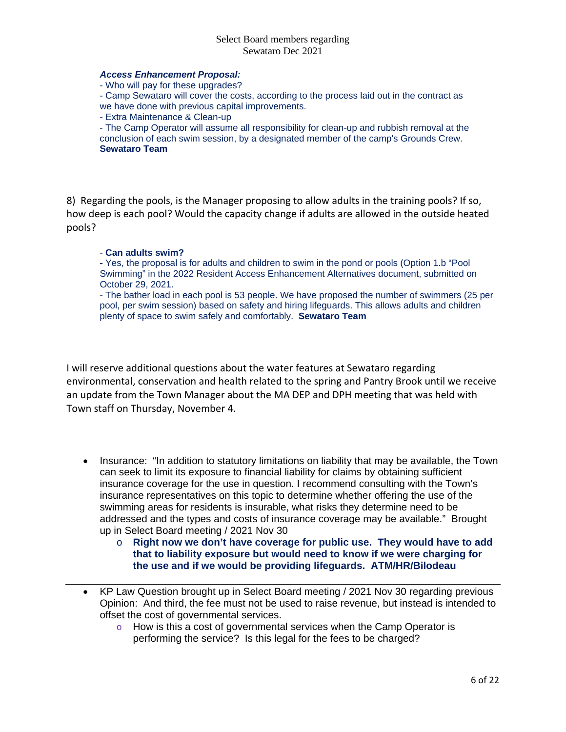### *Access Enhancement Proposal:*

- Who will pay for these upgrades?

- Camp Sewataro will cover the costs, according to the process laid out in the contract as

we have done with previous capital improvements.

- Extra Maintenance & Clean-up

- The Camp Operator will assume all responsibility for clean-up and rubbish removal at the conclusion of each swim session, by a designated member of the camp's Grounds Crew. **Sewataro Team**

8) Regarding the pools, is the Manager proposing to allow adults in the training pools? If so, how deep is each pool? Would the capacity change if adults are allowed in the outside heated pools?

### - **Can adults swim?**

**-** Yes, the proposal is for adults and children to swim in the pond or pools (Option 1.b "Pool Swimming" in the 2022 Resident Access Enhancement Alternatives document, submitted on October 29, 2021.

- The bather load in each pool is 53 people. We have proposed the number of swimmers (25 per pool, per swim session) based on safety and hiring lifeguards. This allows adults and children plenty of space to swim safely and comfortably. **Sewataro Team**

I will reserve additional questions about the water features at Sewataro regarding environmental, conservation and health related to the spring and Pantry Brook until we receive an update from the Town Manager about the MA DEP and DPH meeting that was held with Town staff on Thursday, November 4.

- Insurance: "In addition to statutory limitations on liability that may be available, the Town can seek to limit its exposure to financial liability for claims by obtaining sufficient insurance coverage for the use in question. I recommend consulting with the Town's insurance representatives on this topic to determine whether offering the use of the swimming areas for residents is insurable, what risks they determine need to be addressed and the types and costs of insurance coverage may be available." Brought up in Select Board meeting / 2021 Nov 30
	- o **Right now we don't have coverage for public use. They would have to add that to liability exposure but would need to know if we were charging for the use and if we would be providing lifeguards. ATM/HR/Bilodeau**
- KP Law Question brought up in Select Board meeting / 2021 Nov 30 regarding previous Opinion: And third, the fee must not be used to raise revenue, but instead is intended to offset the cost of governmental services.
	- $\circ$  How is this a cost of governmental services when the Camp Operator is performing the service? Is this legal for the fees to be charged?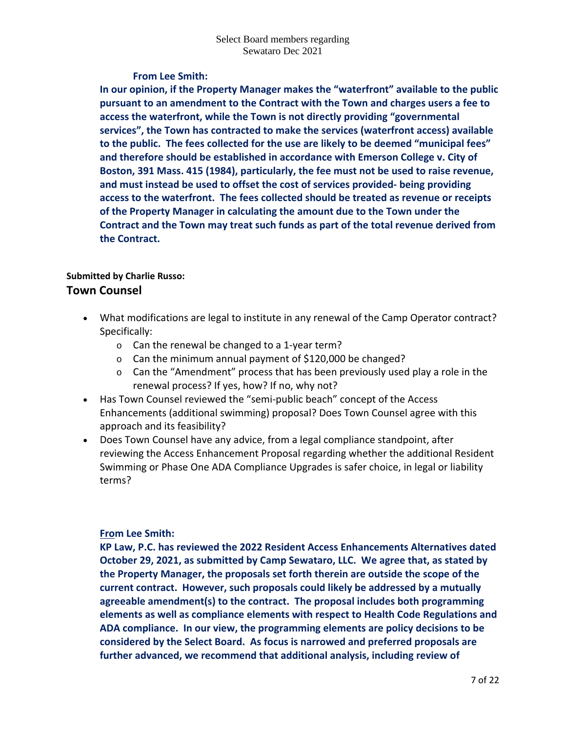# **From Lee Smith:**

**In our opinion, if the Property Manager makes the "waterfront" available to the public pursuant to an amendment to the Contract with the Town and charges users a fee to access the waterfront, while the Town is not directly providing "governmental services", the Town has contracted to make the services (waterfront access) available to the public. The fees collected for the use are likely to be deemed "municipal fees" and therefore should be established in accordance with Emerson College v. City of Boston, 391 Mass. 415 (1984), particularly, the fee must not be used to raise revenue, and must instead be used to offset the cost of services provided- being providing access to the waterfront. The fees collected should be treated as revenue or receipts of the Property Manager in calculating the amount due to the Town under the Contract and the Town may treat such funds as part of the total revenue derived from the Contract.**

# **Submitted by Charlie Russo: Town Counsel**

- What modifications are legal to institute in any renewal of the Camp Operator contract? Specifically:
	- o Can the renewal be changed to a 1-year term?
	- o Can the minimum annual payment of \$120,000 be changed?
	- $\circ$  Can the "Amendment" process that has been previously used play a role in the renewal process? If yes, how? If no, why not?
- Has Town Counsel reviewed the "semi-public beach" concept of the Access Enhancements (additional swimming) proposal? Does Town Counsel agree with this approach and its feasibility?
- Does Town Counsel have any advice, from a legal compliance standpoint, after reviewing the Access Enhancement Proposal regarding whether the additional Resident Swimming or Phase One ADA Compliance Upgrades is safer choice, in legal or liability terms?

# **From Lee Smith:**

**KP Law, P.C. has reviewed the 2022 Resident Access Enhancements Alternatives dated October 29, 2021, as submitted by Camp Sewataro, LLC. We agree that, as stated by the Property Manager, the proposals set forth therein are outside the scope of the current contract. However, such proposals could likely be addressed by a mutually agreeable amendment(s) to the contract. The proposal includes both programming elements as well as compliance elements with respect to Health Code Regulations and ADA compliance. In our view, the programming elements are policy decisions to be considered by the Select Board. As focus is narrowed and preferred proposals are further advanced, we recommend that additional analysis, including review of**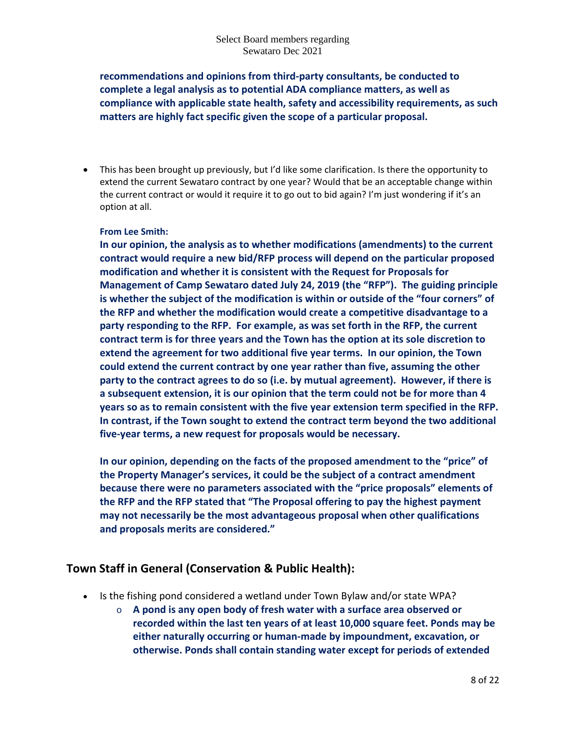**recommendations and opinions from third-party consultants, be conducted to complete a legal analysis as to potential ADA compliance matters, as well as compliance with applicable state health, safety and accessibility requirements, as such matters are highly fact specific given the scope of a particular proposal.**

• This has been brought up previously, but I'd like some clarification. Is there the opportunity to extend the current Sewataro contract by one year? Would that be an acceptable change within the current contract or would it require it to go out to bid again? I'm just wondering if it's an option at all.

## **From Lee Smith:**

**In our opinion, the analysis as to whether modifications (amendments) to the current contract would require a new bid/RFP process will depend on the particular proposed modification and whether it is consistent with the Request for Proposals for Management of Camp Sewataro dated July 24, 2019 (the "RFP"). The guiding principle is whether the subject of the modification is within or outside of the "four corners" of the RFP and whether the modification would create a competitive disadvantage to a party responding to the RFP. For example, as was set forth in the RFP, the current contract term is for three years and the Town has the option at its sole discretion to extend the agreement for two additional five year terms. In our opinion, the Town could extend the current contract by one year rather than five, assuming the other party to the contract agrees to do so (i.e. by mutual agreement). However, if there is a subsequent extension, it is our opinion that the term could not be for more than 4 years so as to remain consistent with the five year extension term specified in the RFP. In contrast, if the Town sought to extend the contract term beyond the two additional five-year terms, a new request for proposals would be necessary.**

**In our opinion, depending on the facts of the proposed amendment to the "price" of the Property Manager's services, it could be the subject of a contract amendment because there were no parameters associated with the "price proposals" elements of the RFP and the RFP stated that "The Proposal offering to pay the highest payment may not necessarily be the most advantageous proposal when other qualifications and proposals merits are considered."**

# **Town Staff in General (Conservation & Public Health):**

- Is the fishing pond considered a wetland under Town Bylaw and/or state WPA?
	- o **A pond is any open body of fresh water with a surface area observed or recorded within the last ten years of at least 10,000 square feet. Ponds may be either naturally occurring or human-made by impoundment, excavation, or otherwise. Ponds shall contain standing water except for periods of extended**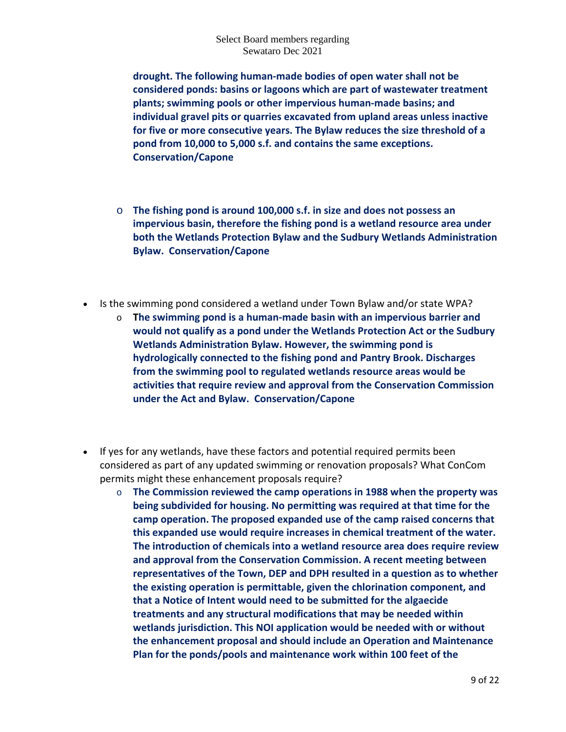**drought. The following human-made bodies of open water shall not be considered ponds: basins or lagoons which are part of wastewater treatment plants; swimming pools or other impervious human-made basins; and individual gravel pits or quarries excavated from upland areas unless inactive for five or more consecutive years. The Bylaw reduces the size threshold of a pond from 10,000 to 5,000 s.f. and contains the same exceptions. Conservation/Capone**

- o **The fishing pond is around 100,000 s.f. in size and does not possess an impervious basin, therefore the fishing pond is a wetland resource area under both the Wetlands Protection Bylaw and the Sudbury Wetlands Administration Bylaw. Conservation/Capone**
- Is the swimming pond considered a wetland under Town Bylaw and/or state WPA?
	- o **The swimming pond is a human-made basin with an impervious barrier and would not qualify as a pond under the Wetlands Protection Act or the Sudbury Wetlands Administration Bylaw. However, the swimming pond is hydrologically connected to the fishing pond and Pantry Brook. Discharges from the swimming pool to regulated wetlands resource areas would be activities that require review and approval from the Conservation Commission under the Act and Bylaw. Conservation/Capone**
- If yes for any wetlands, have these factors and potential required permits been considered as part of any updated swimming or renovation proposals? What ConCom permits might these enhancement proposals require?
	- o **The Commission reviewed the camp operations in 1988 when the property was being subdivided for housing. No permitting was required at that time for the camp operation. The proposed expanded use of the camp raised concerns that this expanded use would require increases in chemical treatment of the water. The introduction of chemicals into a wetland resource area does require review and approval from the Conservation Commission. A recent meeting between representatives of the Town, DEP and DPH resulted in a question as to whether the existing operation is permittable, given the chlorination component, and that a Notice of Intent would need to be submitted for the algaecide treatments and any structural modifications that may be needed within wetlands jurisdiction. This NOI application would be needed with or without the enhancement proposal and should include an Operation and Maintenance Plan for the ponds/pools and maintenance work within 100 feet of the**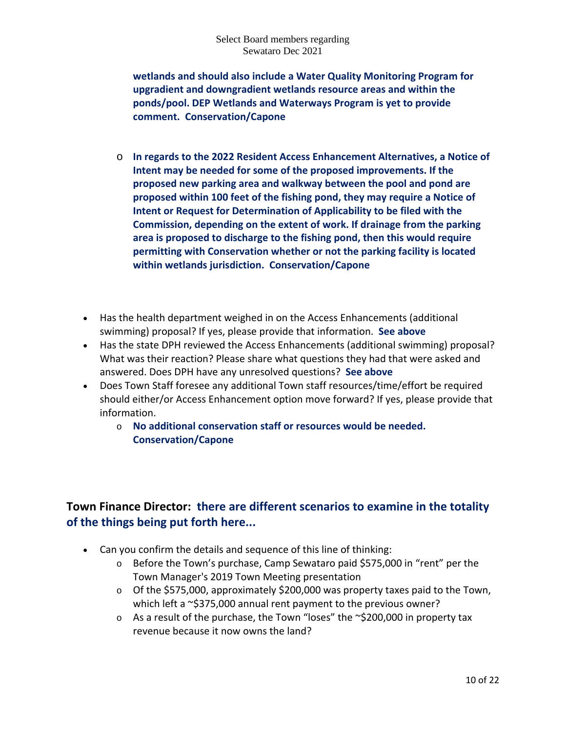**wetlands and should also include a Water Quality Monitoring Program for upgradient and downgradient wetlands resource areas and within the ponds/pool. DEP Wetlands and Waterways Program is yet to provide comment. Conservation/Capone**

- o **In regards to the 2022 Resident Access Enhancement Alternatives, a Notice of Intent may be needed for some of the proposed improvements. If the proposed new parking area and walkway between the pool and pond are proposed within 100 feet of the fishing pond, they may require a Notice of Intent or Request for Determination of Applicability to be filed with the Commission, depending on the extent of work. If drainage from the parking area is proposed to discharge to the fishing pond, then this would require permitting with Conservation whether or not the parking facility is located within wetlands jurisdiction. Conservation/Capone**
- Has the health department weighed in on the Access Enhancements (additional swimming) proposal? If yes, please provide that information. **See above**
- Has the state DPH reviewed the Access Enhancements (additional swimming) proposal? What was their reaction? Please share what questions they had that were asked and answered. Does DPH have any unresolved questions? **See above**
- Does Town Staff foresee any additional Town staff resources/time/effort be required should either/or Access Enhancement option move forward? If yes, please provide that information.
	- o **No additional conservation staff or resources would be needed. Conservation/Capone**

# **Town Finance Director: there are different scenarios to examine in the totality of the things being put forth here...**

- Can you confirm the details and sequence of this line of thinking:
	- o Before the Town's purchase, Camp Sewataro paid \$575,000 in "rent" per the Town Manager's 2019 Town Meeting presentation
	- $\circ$  Of the \$575,000, approximately \$200,000 was property taxes paid to the Town, which left a  $\sim$ \$375,000 annual rent payment to the previous owner?
	- $\circ$  As a result of the purchase, the Town "loses" the ~\$200,000 in property tax revenue because it now owns the land?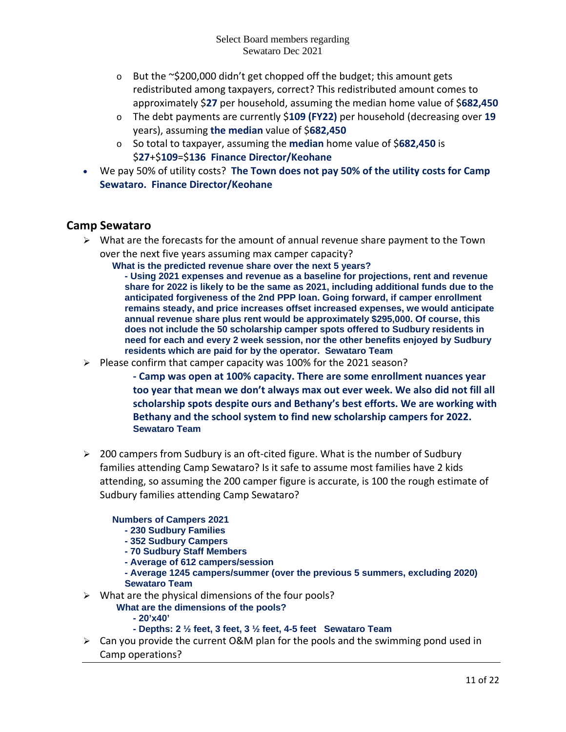- o But the ~\$200,000 didn't get chopped off the budget; this amount gets redistributed among taxpayers, correct? This redistributed amount comes to approximately \$**27** per household, assuming the median home value of \$**682,450**
- o The debt payments are currently \$**109 (FY22)** per household (decreasing over **19** years), assuming **the median** value of \$**682,450**
- o So total to taxpayer, assuming the **median** home value of \$**682,450** is \$**27**+\$**109**=\$**136 Finance Director/Keohane**
- We pay 50% of utility costs? **The Town does not pay 50% of the utility costs for Camp Sewataro. Finance Director/Keohane**

# **Camp Sewataro**

 $\triangleright$  What are the forecasts for the amount of annual revenue share payment to the Town over the next five years assuming max camper capacity?

**What is the predicted revenue share over the next 5 years?**

**- Using 2021 expenses and revenue as a baseline for projections, rent and revenue share for 2022 is likely to be the same as 2021, including additional funds due to the anticipated forgiveness of the 2nd PPP loan. Going forward, if camper enrollment remains steady, and price increases offset increased expenses, we would anticipate annual revenue share plus rent would be approximately \$295,000. Of course, this does not include the 50 scholarship camper spots offered to Sudbury residents in need for each and every 2 week session, nor the other benefits enjoyed by Sudbury residents which are paid for by the operator. Sewataro Team**

 $\triangleright$  Please confirm that camper capacity was 100% for the 2021 season?

**- Camp was open at 100% capacity. There are some enrollment nuances year too year that mean we don't always max out ever week. We also did not fill all scholarship spots despite ours and Bethany's best efforts. We are working with Bethany and the school system to find new scholarship campers for 2022. Sewataro Team**

 $\geq 200$  campers from Sudbury is an oft-cited figure. What is the number of Sudbury families attending Camp Sewataro? Is it safe to assume most families have 2 kids attending, so assuming the 200 camper figure is accurate, is 100 the rough estimate of Sudbury families attending Camp Sewataro?

# **Numbers of Campers 2021**

- **- 230 Sudbury Families**
- **- 352 Sudbury Campers**
- **- 70 Sudbury Staff Members**
- **- Average of 612 campers/session**
- **- Average 1245 campers/summer (over the previous 5 summers, excluding 2020) Sewataro Team**
- $\triangleright$  What are the physical dimensions of the four pools?
	- **What are the dimensions of the pools?**
		- **- 20'x40'**
		- **- Depths: 2 ½ feet, 3 feet, 3 ½ feet, 4-5 feet Sewataro Team**
- $\triangleright$  Can you provide the current O&M plan for the pools and the swimming pond used in Camp operations?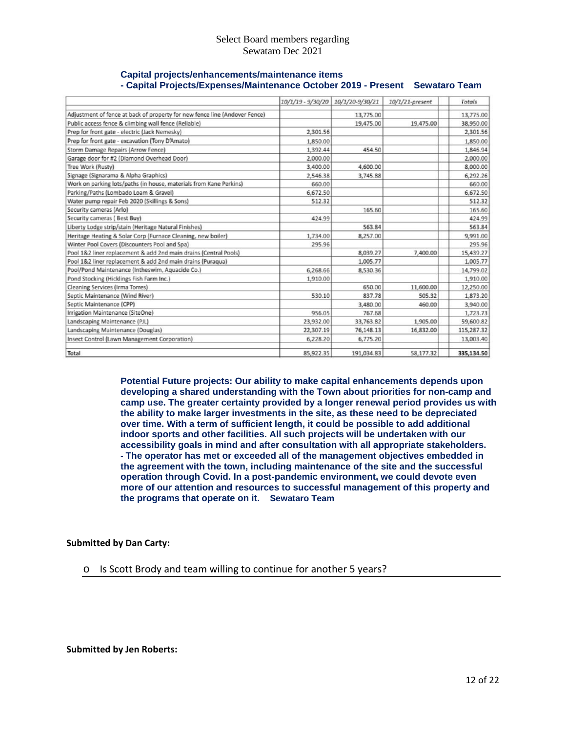| Capital projects/enhancements/maintenance items                              |  |
|------------------------------------------------------------------------------|--|
| - Capital Projects/Expenses/Maintenance October 2019 - Present Sewataro Team |  |

|                                                                            | 10/1/19 - 9/30/20 | 10/1/20-9/30/21 | 10/1/21-present | Totals     |
|----------------------------------------------------------------------------|-------------------|-----------------|-----------------|------------|
| Adjustment of fence at back of property for new fence line (Andover Fence) |                   | 13,775.00       |                 | 13,775.00  |
| Public access fence & climbing wall fence (Reliable)                       |                   | 19,475.00       | 19,475.00       | 38,950.00  |
| Prep for front gate - electric (Jack Nemesky)                              | 2,301.56          |                 |                 | 2,301.56   |
| Prep for front gate - excavation (Tony D'Amato)                            | 1,850.00          |                 |                 | 1,850.00   |
| Storm Damage Repairs (Arrow Fence)                                         | 1,392.44          | 454.50          |                 | 1,846.94   |
| Garage door for #2 (Diamond Overhead Door)                                 | 2,000.00          |                 |                 | 2,000.00   |
| Tree Work (Rusty)                                                          | 3,400.00          | 4,600.00        |                 | 8,000.00   |
| Signage (Signarama & Alpha Graphics)                                       | 2,546.38          | 3,745.88        |                 | 6,292.26   |
| Work on parking lots/paths (in house, materials from Kane Perkins)         | 660.00            |                 |                 | 660.00     |
| Parking/Paths (Lombado Loam & Gravel)                                      | 6,672.50          |                 |                 | 6,672.50   |
| Water pump repair Feb 2020 (Skillings & Sons)                              | 512.32            |                 |                 | 512.32     |
| Security cameras (Arlo)                                                    |                   | 165.60          |                 | 165.60     |
| Security cameras (Best Buy)                                                | 424.99            |                 |                 | 424.99     |
| Liberty Lodge strip/stain (Heritage Natural Finishes)                      |                   | 563.84          |                 | 563.84     |
| Heritage Heating & Solar Corp (Furnace Cleaning, new boiler)               | 1,734.00          | 8,257.00        |                 | 9,991.00   |
| Winter Pool Covers (Discounters Pool and Spa)                              | 295.96            |                 |                 | 295.96     |
| Pool 1&2 liner replacement & add 2nd main drains (Central Pools)           |                   | 8,039.27        | 7,400.00        | 15,439.27  |
| Pool 1&2 liner replacement & add 2nd main drains (Puraqua)                 |                   | 1,005.77        |                 | 1,005.77   |
| Pool/Pond Maintenance (Intheswim, Aquacide Co.)                            | 6,268.66          | 8,530.36        |                 | 14,799.02  |
| Pond Stocking (Hicklings Fish Farm Inc.)                                   | 1,910.00          |                 |                 | 1,910.00   |
| Cleaning Services (Irma Torres)                                            |                   | 650.00          | 11,600.00       | 12,250.00  |
| Septic Maintenance (Wind River)                                            | 530.10            | 837.78          | 505.32          | 1,873.20   |
| Septic Maintenance (CPP)                                                   |                   | 3,480.00        | 460.00          | 3,940.00   |
| Irrigation Maintenance (SiteOne)                                           | 956.05            | 767.68          |                 | 1,723.73   |
| Landscaping Maintenance (PJL)                                              | 23,932.00         | 33,763.82       | 1.905.00        | 59,600.82  |
| Landscaping Maintenance (Douglas)                                          | 22.307.19         | 76,148.13       | 16.832.00       | 115,287.32 |
| Insect Control (Lawn Management Corporation)                               | 6,228.20          | 6,775.20        |                 | 13,003.40  |
| Total                                                                      | 85,922.35         | 191,034.83      | 58,177.32       | 335,134.50 |

**Potential Future projects: Our ability to make capital enhancements depends upon developing a shared understanding with the Town about priorities for non-camp and camp use. The greater certainty provided by a longer renewal period provides us with the ability to make larger investments in the site, as these need to be depreciated over time. With a term of sufficient length, it could be possible to add additional indoor sports and other facilities. All such projects will be undertaken with our accessibility goals in mind and after consultation with all appropriate stakeholders. - The operator has met or exceeded all of the management objectives embedded in the agreement with the town, including maintenance of the site and the successful operation through Covid. In a post-pandemic environment, we could devote even more of our attention and resources to successful management of this property and the programs that operate on it. Sewataro Team**

### **Submitted by Dan Carty:**

o Is Scott Brody and team willing to continue for another 5 years?

**Submitted by Jen Roberts:**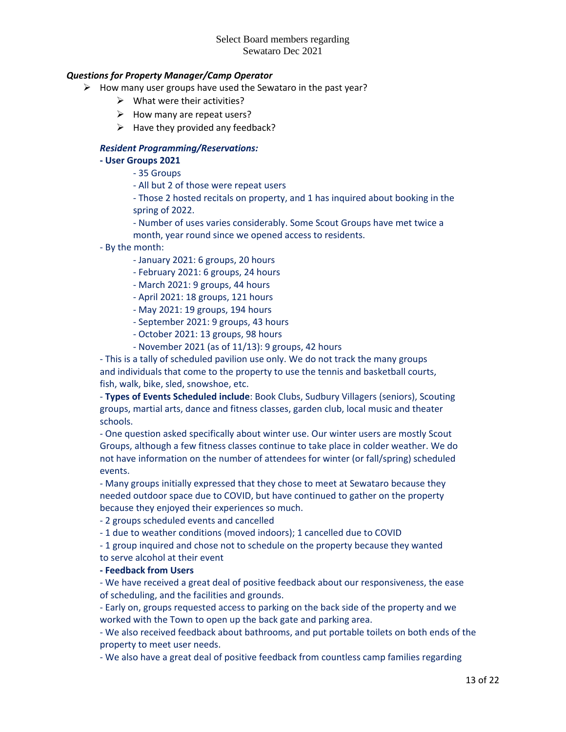## *Questions for Property Manager/Camp Operator*

- $\triangleright$  How many user groups have used the Sewataro in the past year?
	- $\triangleright$  What were their activities?
	- $\triangleright$  How many are repeat users?
	- $\triangleright$  Have they provided any feedback?

### *Resident Programming/Reservations:*

**- User Groups 2021**

- 35 Groups

- All but 2 of those were repeat users

- Those 2 hosted recitals on property, and 1 has inquired about booking in the spring of 2022.

- Number of uses varies considerably. Some Scout Groups have met twice a month, year round since we opened access to residents.

- By the month:
	- January 2021: 6 groups, 20 hours
	- February 2021: 6 groups, 24 hours
	- March 2021: 9 groups, 44 hours
	- April 2021: 18 groups, 121 hours
	- May 2021: 19 groups, 194 hours
	- September 2021: 9 groups, 43 hours
	- October 2021: 13 groups, 98 hours
	- November 2021 (as of 11/13): 9 groups, 42 hours

- This is a tally of scheduled pavilion use only. We do not track the many groups and individuals that come to the property to use the tennis and basketball courts, fish, walk, bike, sled, snowshoe, etc.

- **Types of Events Scheduled include**: Book Clubs, Sudbury Villagers (seniors), Scouting groups, martial arts, dance and fitness classes, garden club, local music and theater schools.

- One question asked specifically about winter use. Our winter users are mostly Scout Groups, although a few fitness classes continue to take place in colder weather. We do not have information on the number of attendees for winter (or fall/spring) scheduled events.

- Many groups initially expressed that they chose to meet at Sewataro because they needed outdoor space due to COVID, but have continued to gather on the property because they enjoyed their experiences so much.

- 2 groups scheduled events and cancelled

- 1 due to weather conditions (moved indoors); 1 cancelled due to COVID

- 1 group inquired and chose not to schedule on the property because they wanted to serve alcohol at their event

## **- Feedback from Users**

- We have received a great deal of positive feedback about our responsiveness, the ease of scheduling, and the facilities and grounds.

- Early on, groups requested access to parking on the back side of the property and we worked with the Town to open up the back gate and parking area.

- We also received feedback about bathrooms, and put portable toilets on both ends of the property to meet user needs.

- We also have a great deal of positive feedback from countless camp families regarding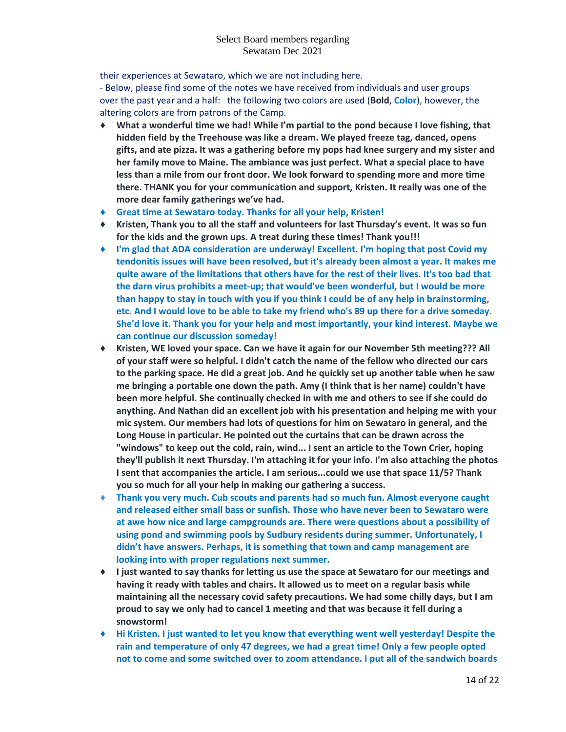their experiences at Sewataro, which we are not including here.

- Below, please find some of the notes we have received from individuals and user groups over the past year and a half: the following two colors are used (**Bold**, **Color**), however, the altering colors are from patrons of the Camp.

- ♦ **What a wonderful time we had! While I'm partial to the pond because I love fishing, that hidden field by the Treehouse was like a dream. We played freeze tag, danced, opens gifts, and ate pizza. It was a gathering before my pops had knee surgery and my sister and her family move to Maine. The ambiance was just perfect. What a special place to have less than a mile from our front door. We look forward to spending more and more time there. THANK you for your communication and support, Kristen. It really was one of the more dear family gatherings we've had.**
- ♦ **Great time at Sewataro today. Thanks for all your help, Kristen!**
- ♦ **Kristen, Thank you to all the staff and volunteers for last Thursday's event. It was so fun for the kids and the grown ups. A treat during these times! Thank you!!!**
- ♦ **I'm glad that ADA consideration are underway! Excellent. I'm hoping that post Covid my tendonitis issues will have been resolved, but it's already been almost a year. It makes me quite aware of the limitations that others have for the rest of their lives. It's too bad that the darn virus prohibits a meet-up; that would've been wonderful, but I would be more than happy to stay in touch with you if you think I could be of any help in brainstorming, etc. And I would love to be able to take my friend who's 89 up there for a drive someday. She'd love it. Thank you for your help and most importantly, your kind interest. Maybe we can continue our discussion someday!**
- ♦ **Kristen, WE loved your space. Can we have it again for our November 5th meeting??? All of your staff were so helpful. I didn't catch the name of the fellow who directed our cars to the parking space. He did a great job. And he quickly set up another table when he saw me bringing a portable one down the path. Amy (I think that is her name) couldn't have been more helpful. She continually checked in with me and others to see if she could do anything. And Nathan did an excellent job with his presentation and helping me with your mic system. Our members had lots of questions for him on Sewataro in general, and the Long House in particular. He pointed out the curtains that can be drawn across the "windows" to keep out the cold, rain, wind... I sent an article to the Town Crier, hoping they'll publish it next Thursday. I'm attaching it for your info. I'm also attaching the photos I sent that accompanies the article. I am serious...could we use that space 11/5? Thank you so much for all your help in making our gathering a success.**
- ♦ **Thank you very much. Cub scouts and parents had so much fun. Almost everyone caught and released either small bass or sunfish. Those who have never been to Sewataro were at awe how nice and large campgrounds are. There were questions about a possibility of using pond and swimming pools by Sudbury residents during summer. Unfortunately, I didn't have answers. Perhaps, it is something that town and camp management are looking into with proper regulations next summer.**
- ♦ **I just wanted to say thanks for letting us use the space at Sewataro for our meetings and having it ready with tables and chairs. It allowed us to meet on a regular basis while maintaining all the necessary covid safety precautions. We had some chilly days, but I am proud to say we only had to cancel 1 meeting and that was because it fell during a snowstorm!**
- ♦ **Hi Kristen. I just wanted to let you know that everything went well yesterday! Despite the rain and temperature of only 47 degrees, we had a great time! Only a few people opted not to come and some switched over to zoom attendance. I put all of the sandwich boards**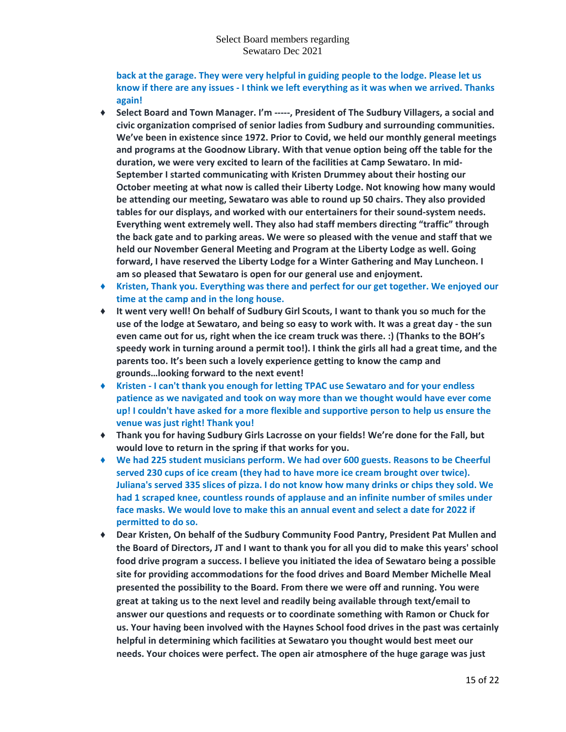**back at the garage. They were very helpful in guiding people to the lodge. Please let us know if there are any issues - I think we left everything as it was when we arrived. Thanks again!**

- ♦ **Select Board and Town Manager. I'm -----, President of The Sudbury Villagers, a social and civic organization comprised of senior ladies from Sudbury and surrounding communities. We've been in existence since 1972. Prior to Covid, we held our monthly general meetings and programs at the Goodnow Library. With that venue option being off the table for the duration, we were very excited to learn of the facilities at Camp Sewataro. In mid-September I started communicating with Kristen Drummey about their hosting our October meeting at what now is called their Liberty Lodge. Not knowing how many would be attending our meeting, Sewataro was able to round up 50 chairs. They also provided tables for our displays, and worked with our entertainers for their sound-system needs. Everything went extremely well. They also had staff members directing "traffic" through the back gate and to parking areas. We were so pleased with the venue and staff that we held our November General Meeting and Program at the Liberty Lodge as well. Going forward, I have reserved the Liberty Lodge for a Winter Gathering and May Luncheon. I am so pleased that Sewataro is open for our general use and enjoyment.**
- ♦ **Kristen, Thank you. Everything was there and perfect for our get together. We enjoyed our time at the camp and in the long house.**
- ♦ **It went very well! On behalf of Sudbury Girl Scouts, I want to thank you so much for the use of the lodge at Sewataro, and being so easy to work with. It was a great day - the sun even came out for us, right when the ice cream truck was there. :) (Thanks to the BOH's speedy work in turning around a permit too!). I think the girls all had a great time, and the parents too. It's been such a lovely experience getting to know the camp and grounds…looking forward to the next event!**
- ♦ **Kristen - I can't thank you enough for letting TPAC use Sewataro and for your endless patience as we navigated and took on way more than we thought would have ever come up! I couldn't have asked for a more flexible and supportive person to help us ensure the venue was just right! Thank you!**
- ♦ **Thank you for having Sudbury Girls Lacrosse on your fields! We're done for the Fall, but would love to return in the spring if that works for you.**
- ♦ **We had 225 student musicians perform. We had over 600 guests. Reasons to be Cheerful served 230 cups of ice cream (they had to have more ice cream brought over twice). Juliana's served 335 slices of pizza. I do not know how many drinks or chips they sold. We had 1 scraped knee, countless rounds of applause and an infinite number of smiles under face masks. We would love to make this an annual event and select a date for 2022 if permitted to do so.**
- ♦ **Dear Kristen, On behalf of the Sudbury Community Food Pantry, President Pat Mullen and the Board of Directors, JT and I want to thank you for all you did to make this years' school food drive program a success. I believe you initiated the idea of Sewataro being a possible site for providing accommodations for the food drives and Board Member Michelle Meal presented the possibility to the Board. From there we were off and running. You were great at taking us to the next level and readily being available through text/email to answer our questions and requests or to coordinate something with Ramon or Chuck for us. Your having been involved with the Haynes School food drives in the past was certainly helpful in determining which facilities at Sewataro you thought would best meet our needs. Your choices were perfect. The open air atmosphere of the huge garage was just**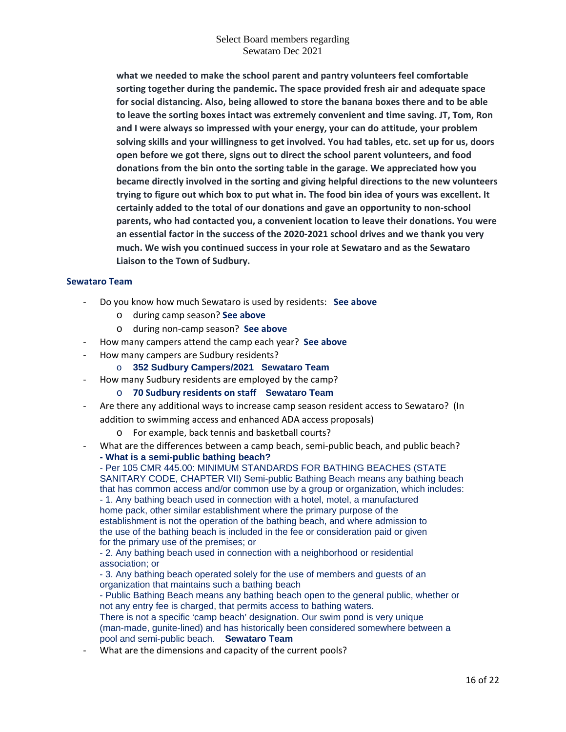**what we needed to make the school parent and pantry volunteers feel comfortable sorting together during the pandemic. The space provided fresh air and adequate space for social distancing. Also, being allowed to store the banana boxes there and to be able to leave the sorting boxes intact was extremely convenient and time saving. JT, Tom, Ron and I were always so impressed with your energy, your can do attitude, your problem solving skills and your willingness to get involved. You had tables, etc. set up for us, doors open before we got there, signs out to direct the school parent volunteers, and food donations from the bin onto the sorting table in the garage. We appreciated how you became directly involved in the sorting and giving helpful directions to the new volunteers trying to figure out which box to put what in. The food bin idea of yours was excellent. It certainly added to the total of our donations and gave an opportunity to non-school parents, who had contacted you, a convenient location to leave their donations. You were an essential factor in the success of the 2020-2021 school drives and we thank you very much. We wish you continued success in your role at Sewataro and as the Sewataro Liaison to the Town of Sudbury.**

### **Sewataro Team**

- Do you know how much Sewataro is used by residents: **See above**
	- o during camp season? **See above**
	- o during non-camp season? **See above**
- How many campers attend the camp each year? **See above**
- How many campers are Sudbury residents?
	- o **352 Sudbury Campers/2021 Sewataro Team**
	- How many Sudbury residents are employed by the camp?
		- o **70 Sudbury residents on staff Sewataro Team**
- Are there any additional ways to increase camp season resident access to Sewataro? (In addition to swimming access and enhanced ADA access proposals)
	- o For example, back tennis and basketball courts?
- What are the differences between a camp beach, semi-public beach, and public beach?

**- What is a semi-public bathing beach?** - Per 105 CMR 445.00: MINIMUM STANDARDS FOR BATHING BEACHES (STATE SANITARY CODE, CHAPTER VII) Semi-public Bathing Beach means any bathing beach that has common access and/or common use by a group or organization, which includes:

- 1. Any bathing beach used in connection with a hotel, motel, a manufactured home pack, other similar establishment where the primary purpose of the establishment is not the operation of the bathing beach, and where admission to the use of the bathing beach is included in the fee or consideration paid or given for the primary use of the premises; or

- 2. Any bathing beach used in connection with a neighborhood or residential association; or

- 3. Any bathing beach operated solely for the use of members and guests of an organization that maintains such a bathing beach

- Public Bathing Beach means any bathing beach open to the general public, whether or not any entry fee is charged, that permits access to bathing waters. There is not a specific 'camp beach' designation. Our swim pond is very unique

(man-made, gunite-lined) and has historically been considered somewhere between a pool and semi-public beach. **Sewataro Team**

What are the dimensions and capacity of the current pools?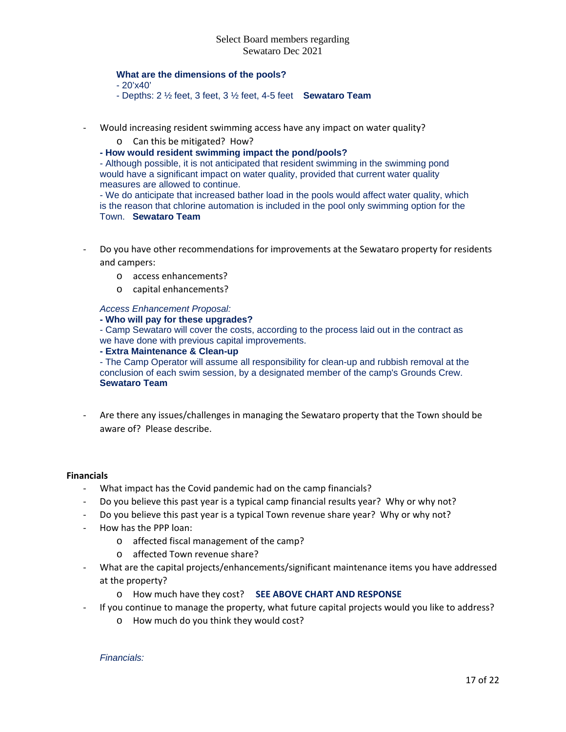#### **What are the dimensions of the pools?**

- 20'x40'
- Depths: 2 ½ feet, 3 feet, 3 ½ feet, 4-5 feet **Sewataro Team**
- Would increasing resident swimming access have any impact on water quality?
	- o Can this be mitigated? How?
	- **- How would resident swimming impact the pond/pools?**

- Although possible, it is not anticipated that resident swimming in the swimming pond would have a significant impact on water quality, provided that current water quality measures are allowed to continue.

- We do anticipate that increased bather load in the pools would affect water quality, which is the reason that chlorine automation is included in the pool only swimming option for the Town. **Sewataro Team**

- Do you have other recommendations for improvements at the Sewataro property for residents and campers:
	- o access enhancements?
	- o capital enhancements?

*Access Enhancement Proposal:*

**- Who will pay for these upgrades?**

- Camp Sewataro will cover the costs, according to the process laid out in the contract as we have done with previous capital improvements.

**- Extra Maintenance & Clean-up**

- The Camp Operator will assume all responsibility for clean-up and rubbish removal at the conclusion of each swim session, by a designated member of the camp's Grounds Crew. **Sewataro Team**

- Are there any issues/challenges in managing the Sewataro property that the Town should be aware of? Please describe.

### **Financials**

- What impact has the Covid pandemic had on the camp financials?
- Do you believe this past year is a typical camp financial results year? Why or why not?
- Do you believe this past year is a typical Town revenue share year? Why or why not?
- How has the PPP loan:
	- o affected fiscal management of the camp?
	- o affected Town revenue share?
- What are the capital projects/enhancements/significant maintenance items you have addressed at the property?
	- o How much have they cost? **SEE ABOVE CHART AND RESPONSE**
	- If you continue to manage the property, what future capital projects would you like to address?
		- o How much do you think they would cost?

*Financials:*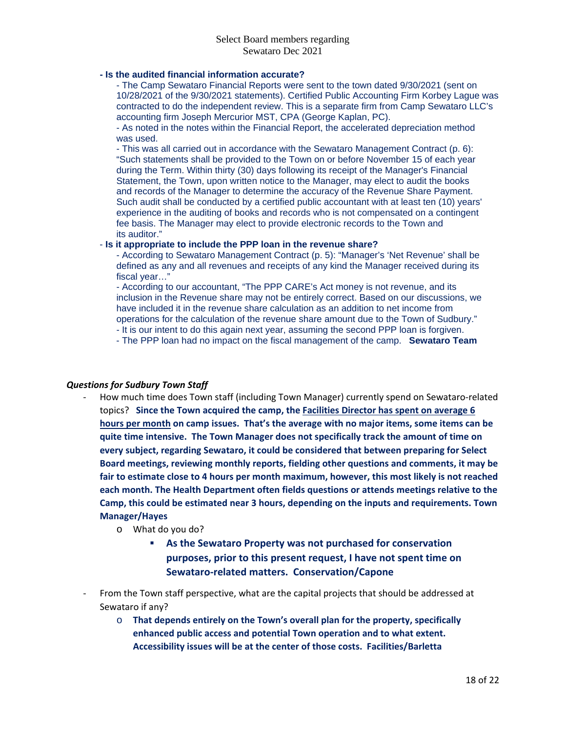### **- Is the audited financial information accurate?**

- The Camp Sewataro Financial Reports were sent to the town dated 9/30/2021 (sent on 10/28/2021 of the 9/30/2021 statements). Certified Public Accounting Firm Korbey Lague was contracted to do the independent review. This is a separate firm from Camp Sewataro LLC's accounting firm Joseph Mercurior MST, CPA (George Kaplan, PC).

- As noted in the notes within the Financial Report, the accelerated depreciation method was used.

- This was all carried out in accordance with the Sewataro Management Contract (p. 6): "Such statements shall be provided to the Town on or before November 15 of each year during the Term. Within thirty (30) days following its receipt of the Manager's Financial Statement, the Town, upon written notice to the Manager, may elect to audit the books and records of the Manager to determine the accuracy of the Revenue Share Payment. Such audit shall be conducted by a certified public accountant with at least ten (10) years' experience in the auditing of books and records who is not compensated on a contingent fee basis. The Manager may elect to provide electronic records to the Town and its auditor."

## - **Is it appropriate to include the PPP loan in the revenue share?**

- According to Sewataro Management Contract (p. 5): "Manager's 'Net Revenue' shall be defined as any and all revenues and receipts of any kind the Manager received during its fiscal year…"

- According to our accountant, "The PPP CARE's Act money is not revenue, and its inclusion in the Revenue share may not be entirely correct. Based on our discussions, we have included it in the revenue share calculation as an addition to net income from operations for the calculation of the revenue share amount due to the Town of Sudbury." - It is our intent to do this again next year, assuming the second PPP loan is forgiven.

- The PPP loan had no impact on the fiscal management of the camp. **Sewataro Team**

### *Questions for Sudbury Town Staff*

- How much time does Town staff (including Town Manager) currently spend on Sewataro-related topics? **Since the Town acquired the camp, the Facilities Director has spent on average 6 hours per month on camp issues. That's the average with no major items, some items can be quite time intensive. The Town Manager does not specifically track the amount of time on every subject, regarding Sewataro, it could be considered that between preparing for Select Board meetings, reviewing monthly reports, fielding other questions and comments, it may be fair to estimate close to 4 hours per month maximum, however, this most likely is not reached each month. The Health Department often fields questions or attends meetings relative to the Camp, this could be estimated near 3 hours, depending on the inputs and requirements. Town Manager/Hayes**
	- o What do you do?
		- **As the Sewataro Property was not purchased for conservation purposes, prior to this present request, I have not spent time on Sewataro-related matters. Conservation/Capone**
- From the Town staff perspective, what are the capital projects that should be addressed at Sewataro if any?
	- o **That depends entirely on the Town's overall plan for the property, specifically enhanced public access and potential Town operation and to what extent. Accessibility issues will be at the center of those costs. Facilities/Barletta**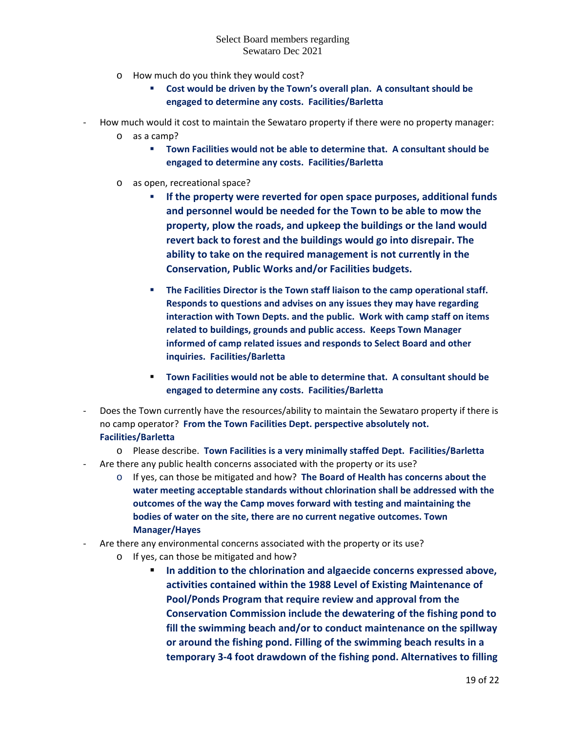- o How much do you think they would cost?
	- **Cost would be driven by the Town's overall plan. A consultant should be engaged to determine any costs. Facilities/Barletta**
- How much would it cost to maintain the Sewataro property if there were no property manager:
	- o as a camp?
		- **Town Facilities would not be able to determine that. A consultant should be engaged to determine any costs. Facilities/Barletta**
	- o as open, recreational space?
		- **If the property were reverted for open space purposes, additional funds and personnel would be needed for the Town to be able to mow the property, plow the roads, and upkeep the buildings or the land would revert back to forest and the buildings would go into disrepair. The ability to take on the required management is not currently in the Conservation, Public Works and/or Facilities budgets.**
		- **The Facilities Director is the Town staff liaison to the camp operational staff. Responds to questions and advises on any issues they may have regarding interaction with Town Depts. and the public. Work with camp staff on items related to buildings, grounds and public access. Keeps Town Manager informed of camp related issues and responds to Select Board and other inquiries. Facilities/Barletta**
		- **Town Facilities would not be able to determine that. A consultant should be engaged to determine any costs. Facilities/Barletta**
- Does the Town currently have the resources/ability to maintain the Sewataro property if there is no camp operator? **From the Town Facilities Dept. perspective absolutely not. Facilities/Barletta**
- o Please describe. **Town Facilities is a very minimally staffed Dept. Facilities/Barletta** - Are there any public health concerns associated with the property or its use?
	- o If yes, can those be mitigated and how? **The Board of Health has concerns about the water meeting acceptable standards without chlorination shall be addressed with the outcomes of the way the Camp moves forward with testing and maintaining the bodies of water on the site, there are no current negative outcomes. Town Manager/Hayes**
- Are there any environmental concerns associated with the property or its use?
	- o If yes, can those be mitigated and how?
		- **In addition to the chlorination and algaecide concerns expressed above, activities contained within the 1988 Level of Existing Maintenance of Pool/Ponds Program that require review and approval from the Conservation Commission include the dewatering of the fishing pond to fill the swimming beach and/or to conduct maintenance on the spillway or around the fishing pond. Filling of the swimming beach results in a temporary 3-4 foot drawdown of the fishing pond. Alternatives to filling**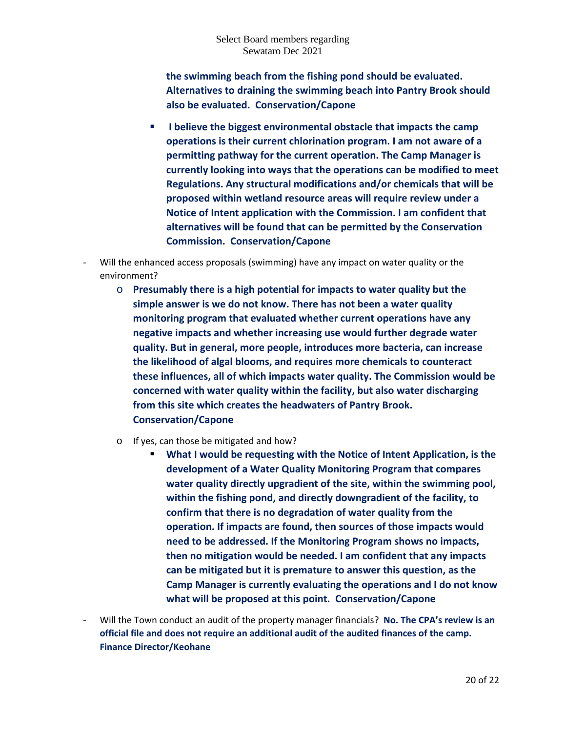**the swimming beach from the fishing pond should be evaluated. Alternatives to draining the swimming beach into Pantry Brook should also be evaluated. Conservation/Capone**

- **I believe the biggest environmental obstacle that impacts the camp operations is their current chlorination program. I am not aware of a permitting pathway for the current operation. The Camp Manager is currently looking into ways that the operations can be modified to meet Regulations. Any structural modifications and/or chemicals that will be proposed within wetland resource areas will require review under a Notice of Intent application with the Commission. I am confident that alternatives will be found that can be permitted by the Conservation Commission. Conservation/Capone**
- Will the enhanced access proposals (swimming) have any impact on water quality or the environment?
	- o **Presumably there is a high potential for impacts to water quality but the simple answer is we do not know. There has not been a water quality monitoring program that evaluated whether current operations have any negative impacts and whether increasing use would further degrade water quality. But in general, more people, introduces more bacteria, can increase the likelihood of algal blooms, and requires more chemicals to counteract these influences, all of which impacts water quality. The Commission would be concerned with water quality within the facility, but also water discharging from this site which creates the headwaters of Pantry Brook. Conservation/Capone**
	- o If yes, can those be mitigated and how?
		- **What I would be requesting with the Notice of Intent Application, is the development of a Water Quality Monitoring Program that compares water quality directly upgradient of the site, within the swimming pool, within the fishing pond, and directly downgradient of the facility, to confirm that there is no degradation of water quality from the operation. If impacts are found, then sources of those impacts would need to be addressed. If the Monitoring Program shows no impacts, then no mitigation would be needed. I am confident that any impacts can be mitigated but it is premature to answer this question, as the Camp Manager is currently evaluating the operations and I do not know what will be proposed at this point. Conservation/Capone**
- Will the Town conduct an audit of the property manager financials? **No. The CPA's review is an official file and does not require an additional audit of the audited finances of the camp. Finance Director/Keohane**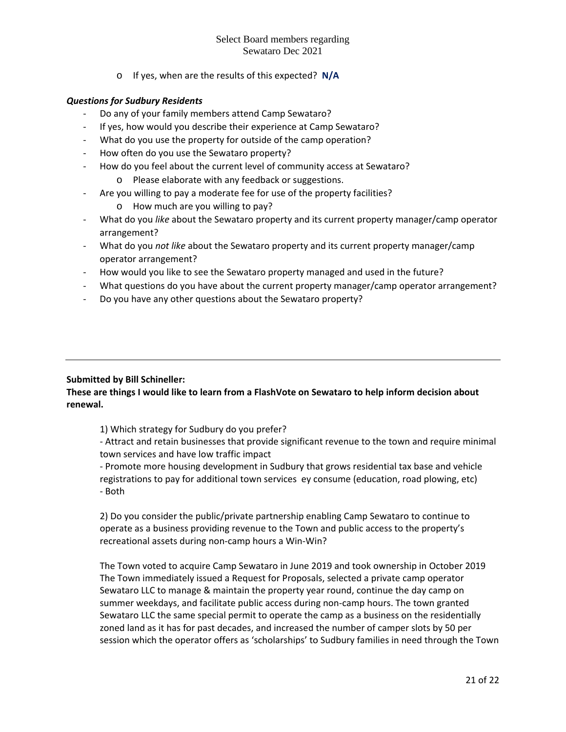o If yes, when are the results of this expected? **N/A**

## *Questions for Sudbury Residents*

- Do any of your family members attend Camp Sewataro?
- If yes, how would you describe their experience at Camp Sewataro?
- What do you use the property for outside of the camp operation?
- How often do you use the Sewataro property?
- How do you feel about the current level of community access at Sewataro?
	- o Please elaborate with any feedback or suggestions.
- Are you willing to pay a moderate fee for use of the property facilities?
	- o How much are you willing to pay?
- What do you *like* about the Sewataro property and its current property manager/camp operator arrangement?
- What do you *not like* about the Sewataro property and its current property manager/camp operator arrangement?
- How would you like to see the Sewataro property managed and used in the future?
- What questions do you have about the current property manager/camp operator arrangement?
- Do you have any other questions about the Sewataro property?

## **Submitted by Bill Schineller:**

## **These are things I would like to learn from a FlashVote on Sewataro to help inform decision about renewal.**

1) Which strategy for Sudbury do you prefer?

- Attract and retain businesses that provide significant revenue to the town and require minimal town services and have low traffic impact

- Promote more housing development in Sudbury that grows residential tax base and vehicle registrations to pay for additional town services ey consume (education, road plowing, etc) - Both

2) Do you consider the public/private partnership enabling Camp Sewataro to continue to operate as a business providing revenue to the Town and public access to the property's recreational assets during non-camp hours a Win-Win?

The Town voted to acquire Camp Sewataro in June 2019 and took ownership in October 2019 The Town immediately issued a Request for Proposals, selected a private camp operator Sewataro LLC to manage & maintain the property year round, continue the day camp on summer weekdays, and facilitate public access during non-camp hours. The town granted Sewataro LLC the same special permit to operate the camp as a business on the residentially zoned land as it has for past decades, and increased the number of camper slots by 50 per session which the operator offers as 'scholarships' to Sudbury families in need through the Town